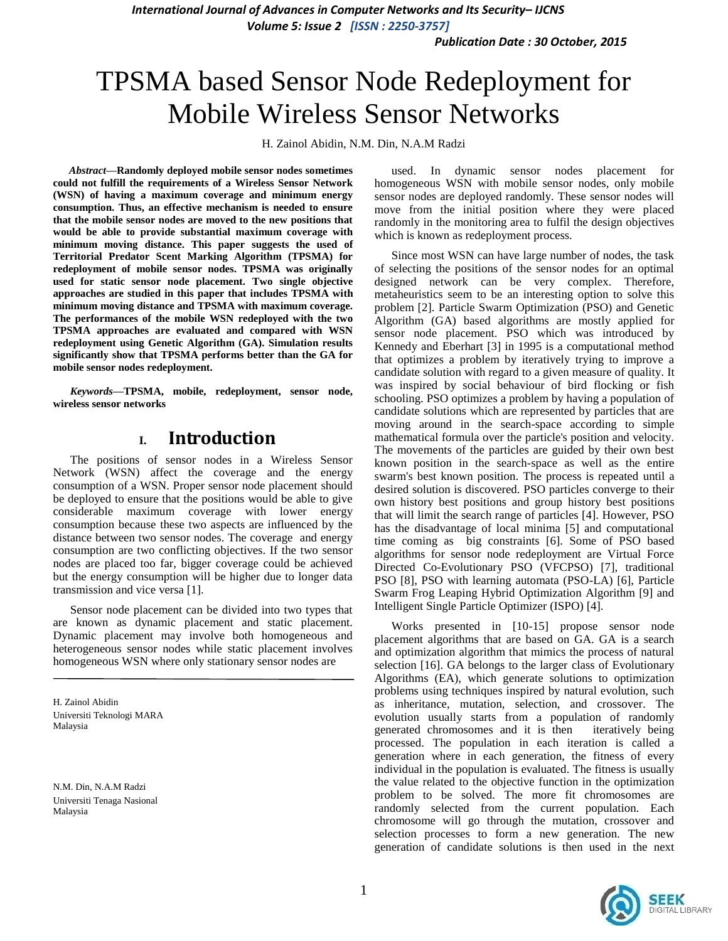*International Journal of Advances in Computer Networks and Its Security– IJCNS Volume 5: Issue 2 [ISSN : 2250-3757]* 

*Publication Date : 30 October, 2015*

# TPSMA based Sensor Node Redeployment for Mobile Wireless Sensor Networks

H. Zainol Abidin, N.M. Din, N.A.M Radzi

*Abstract***—Randomly deployed mobile sensor nodes sometimes could not fulfill the requirements of a Wireless Sensor Network (WSN) of having a maximum coverage and minimum energy consumption. Thus, an effective mechanism is needed to ensure that the mobile sensor nodes are moved to the new positions that would be able to provide substantial maximum coverage with minimum moving distance. This paper suggests the used of Territorial Predator Scent Marking Algorithm (TPSMA) for redeployment of mobile sensor nodes. TPSMA was originally used for static sensor node placement. Two single objective approaches are studied in this paper that includes TPSMA with minimum moving distance and TPSMA with maximum coverage. The performances of the mobile WSN redeployed with the two TPSMA approaches are evaluated and compared with WSN redeployment using Genetic Algorithm (GA). Simulation results significantly show that TPSMA performs better than the GA for mobile sensor nodes redeployment.** 

*Keywords—***TPSMA, mobile, redeployment, sensor node, wireless sensor networks** 

## **I. Introduction**

The positions of sensor nodes in a Wireless Sensor Network (WSN) affect the coverage and the energy consumption of a WSN. Proper sensor node placement should be deployed to ensure that the positions would be able to give considerable maximum coverage with lower energy consumption because these two aspects are influenced by the distance between two sensor nodes. The coverage and energy consumption are two conflicting objectives. If the two sensor nodes are placed too far, bigger coverage could be achieved but the energy consumption will be higher due to longer data transmission and vice versa [1].

Sensor node placement can be divided into two types that are known as dynamic placement and static placement. Dynamic placement may involve both homogeneous and heterogeneous sensor nodes while static placement involves homogeneous WSN where only stationary sensor nodes are

H. Zainol Abidin Universiti Teknologi MARA Malaysia

N.M. Din, N.A.M Radzi Universiti Tenaga Nasional Malaysia

used. In dynamic sensor nodes placement for homogeneous WSN with mobile sensor nodes, only mobile sensor nodes are deployed randomly. These sensor nodes will move from the initial position where they were placed randomly in the monitoring area to fulfil the design objectives which is known as redeployment process.

Since most WSN can have large number of nodes, the task of selecting the positions of the sensor nodes for an optimal designed network can be very complex. Therefore, metaheuristics seem to be an interesting option to solve this problem [2]. Particle Swarm Optimization (PSO) and Genetic Algorithm (GA) based algorithms are mostly applied for sensor node placement. PSO which was introduced by Kennedy and Eberhart [3] in 1995 is a computational method that optimizes a problem by iteratively trying to improve a candidate solution with regard to a given measure of quality. It was inspired by social behaviour of bird flocking or fish schooling. PSO optimizes a problem by having a population of candidate solutions which are represented by particles that are moving around in the search-space according to simple mathematical formula over the particle's position and velocity. The movements of the particles are guided by their own best known position in the search-space as well as the entire swarm's best known position. The process is repeated until a desired solution is discovered. PSO particles converge to their own history best positions and group history best positions that will limit the search range of particles [4]. However, PSO has the disadvantage of local minima [5] and computational time coming as big constraints [6]. Some of PSO based algorithms for sensor node redeployment are Virtual Force Directed Co-Evolutionary PSO (VFCPSO) [7], traditional PSO [8], PSO with learning automata (PSO-LA) [6], Particle Swarm Frog Leaping Hybrid Optimization Algorithm [9] and Intelligent Single Particle Optimizer (ISPO) [4].

Works presented in [10-15] propose sensor node placement algorithms that are based on GA. GA is a search and optimization algorithm that mimics the process of natural selection [16]. GA belongs to the larger class of Evolutionary Algorithms (EA), which generate solutions to optimization problems using techniques inspired by natural evolution, such as inheritance, mutation, selection, and crossover. The evolution usually starts from a population of randomly generated chromosomes and it is then iteratively being processed. The population in each iteration is called a generation where in each generation, the fitness of every individual in the population is evaluated. The fitness is usually the value related to the objective function in the optimization problem to be solved. The more fit chromosomes are randomly selected from the current population. Each chromosome will go through the mutation, crossover and selection processes to form a new generation. The new generation of candidate solutions is then used in the next

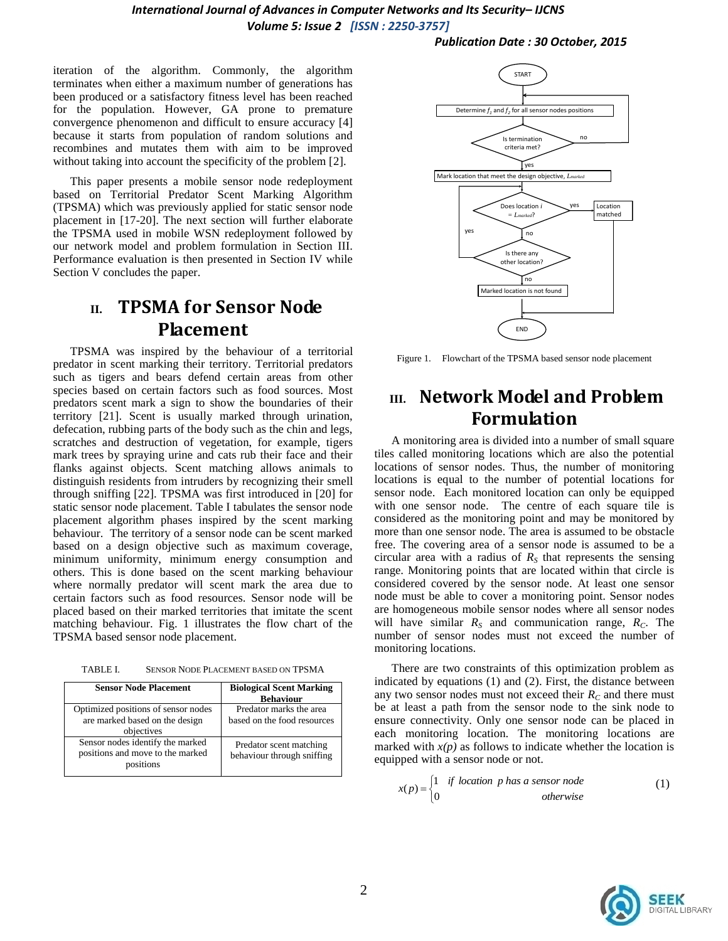iteration of the algorithm. Commonly, the algorithm terminates when either a maximum number of generations has been produced or a satisfactory fitness level has been reached for the population. However, GA prone to premature convergence phenomenon and difficult to ensure accuracy [4] because it starts from population of random solutions and recombines and mutates them with aim to be improved without taking into account the specificity of the problem [2].

This paper presents a mobile sensor node redeployment based on Territorial Predator Scent Marking Algorithm (TPSMA) which was previously applied for static sensor node placement in [17-20]. The next section will further elaborate the TPSMA used in mobile WSN redeployment followed by our network model and problem formulation in Section III. Performance evaluation is then presented in Section IV while Section V concludes the paper.

# **II. TPSMA for Sensor Node Placement**

TPSMA was inspired by the behaviour of a territorial predator in scent marking their territory. Territorial predators such as tigers and bears defend certain areas from other species based on certain factors such as food sources. Most predators scent mark a sign to show the boundaries of their territory [21]. Scent is usually marked through urination, defecation, rubbing parts of the body such as the chin and legs, scratches and destruction of vegetation, for example, tigers mark trees by spraying urine and cats rub their face and their flanks against objects. Scent matching allows animals to distinguish residents from intruders by recognizing their smell through sniffing [22]. TPSMA was first introduced in [20] for static sensor node placement. Table I tabulates the sensor node placement algorithm phases inspired by the scent marking behaviour. The territory of a sensor node can be scent marked based on a design objective such as maximum coverage, minimum uniformity, minimum energy consumption and others. This is done based on the scent marking behaviour where normally predator will scent mark the area due to certain factors such as food resources. Sensor node will be placed based on their marked territories that imitate the scent matching behaviour. Fig. 1 illustrates the flow chart of the TPSMA based sensor node placement.

TABLE I. SENSOR NODE PLACEMENT BASED ON TPSMA

| <b>Sensor Node Placement</b>                                                        | <b>Biological Scent Marking</b><br><b>Behaviour</b>    |
|-------------------------------------------------------------------------------------|--------------------------------------------------------|
| Optimized positions of sensor nodes<br>are marked based on the design<br>objectives | Predator marks the area<br>based on the food resources |
| Sensor nodes identify the marked<br>positions and move to the marked<br>positions   | Predator scent matching<br>behaviour through sniffing  |



Figure 1. Flowchart of the TPSMA based sensor node placement

# **III. Network Model and Problem Formulation**

A monitoring area is divided into a number of small square tiles called monitoring locations which are also the potential locations of sensor nodes. Thus, the number of monitoring locations is equal to the number of potential locations for sensor node. Each monitored location can only be equipped with one sensor node. The centre of each square tile is considered as the monitoring point and may be monitored by more than one sensor node. The area is assumed to be obstacle free. The covering area of a sensor node is assumed to be a circular area with a radius of  $R<sub>S</sub>$  that represents the sensing range. Monitoring points that are located within that circle is considered covered by the sensor node. At least one sensor node must be able to cover a monitoring point. Sensor nodes are homogeneous mobile sensor nodes where all sensor nodes will have similar  $R<sub>S</sub>$  and communication range,  $R<sub>C</sub>$ . The number of sensor nodes must not exceed the number of monitoring locations.

There are two constraints of this optimization problem as indicated by equations (1) and (2). First, the distance between any two sensor nodes must not exceed their  $R_C$  and there must be at least a path from the sensor node to the sink node to ensure connectivity. Only one sensor node can be placed in each monitoring location. The monitoring locations are marked with  $x(p)$  as follows to indicate whether the location is equipped with a sensor node or not.

$$
x(p) = \begin{cases} 1 & \text{if location } p \text{ has a sensor node} \\ 0 & \text{otherwise} \end{cases} \tag{1}
$$

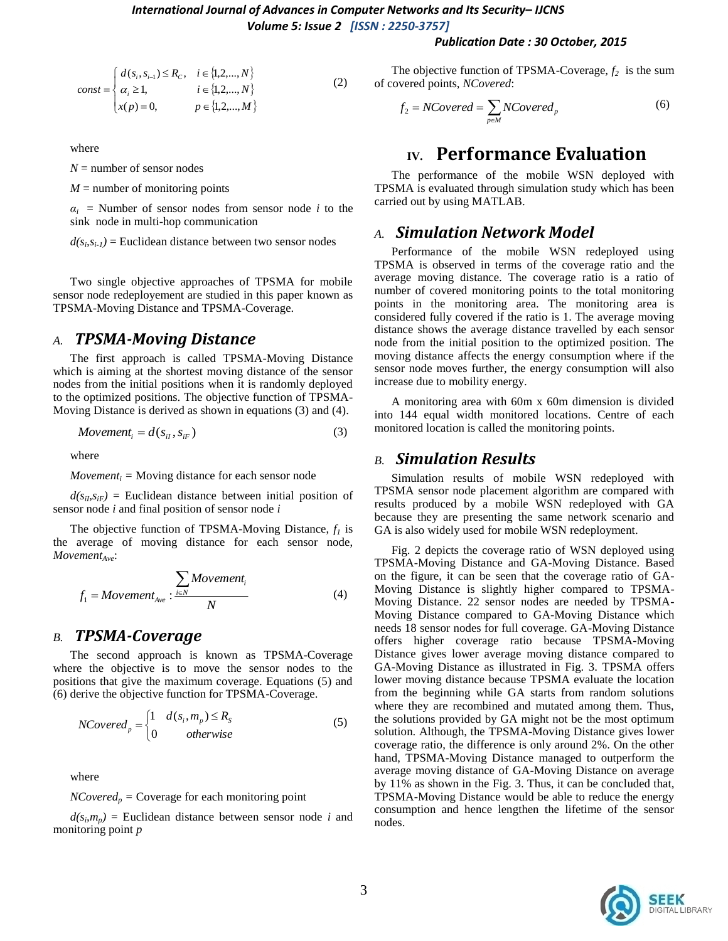#### *Publication Date : 30 October, 2015*

$$
const = \begin{cases} d(s_i, s_{i-1}) \le R_c, & i \in \{1, 2, ..., N\} \\ \alpha_i \ge 1, & i \in \{1, 2, ..., N\} \\ x(p) = 0, & p \in \{1, 2, ..., M\} \end{cases}
$$
 (2)

where

 $N =$  number of sensor nodes

 $M =$  number of monitoring points

 $a_i$  = Number of sensor nodes from sensor node *i* to the sink node in multi-hop communication

 $d(s_i, s_{i-1})$  = Euclidean distance between two sensor nodes

Two single objective approaches of TPSMA for mobile sensor node redeployement are studied in this paper known as TPSMA-Moving Distance and TPSMA-Coverage.

### *A. TPSMA-Moving Distance*

The first approach is called TPSMA-Moving Distance which is aiming at the shortest moving distance of the sensor nodes from the initial positions when it is randomly deployed to the optimized positions. The objective function of TPSMA-Moving Distance is derived as shown in equations (3) and (4).

$$
Movement_i = d(s_{ii}, s_{iF})
$$
\n(3)

where

*Movement<sub>i</sub>* = Moving distance for each sensor node

 $d(s_{i}, s_{i})$  = Euclidean distance between initial position of sensor node *i* and final position of sensor node *i*

The objective function of TPSMA-Moving Distance, *f<sup>1</sup>* is the average of moving distance for each sensor node, *MovementAve*:

$$
f_1 = \text{Movement}_{Ave} : \frac{\sum_{i \in N} \text{Movement}_i}{N} \tag{4}
$$

### *B. TPSMA-Coverage*

The second approach is known as TPSMA-Coverage where the objective is to move the sensor nodes to the positions that give the maximum coverage. Equations (5) and (6) derive the objective function for TPSMA-Coverage.

$$
NCovered_p = \begin{cases} 1 & d(s_i, m_p) \le R_s \\ 0 & otherwise \end{cases}
$$
 (5)

where

 $NCovered_p = \text{Coverage}$  for each monitoring point

 $d(s_i, m_p)$  = Euclidean distance between sensor node *i* and monitoring point *p*

The objective function of TPSMA-Coverage, *f2* is the sum of covered points, *NCovered*:

$$
f_2 = NCovered = \sum_{p \in M} NCovered_p \tag{6}
$$

## **IV. Performance Evaluation**

The performance of the mobile WSN deployed with TPSMA is evaluated through simulation study which has been carried out by using MATLAB.

### *A. Simulation Network Model*

Performance of the mobile WSN redeployed using TPSMA is observed in terms of the coverage ratio and the average moving distance. The coverage ratio is a ratio of number of covered monitoring points to the total monitoring points in the monitoring area. The monitoring area is considered fully covered if the ratio is 1. The average moving distance shows the average distance travelled by each sensor node from the initial position to the optimized position. The moving distance affects the energy consumption where if the sensor node moves further, the energy consumption will also increase due to mobility energy.

A monitoring area with 60m x 60m dimension is divided into 144 equal width monitored locations. Centre of each monitored location is called the monitoring points.

#### *B. Simulation Results*

Simulation results of mobile WSN redeployed with TPSMA sensor node placement algorithm are compared with results produced by a mobile WSN redeployed with GA because they are presenting the same network scenario and GA is also widely used for mobile WSN redeployment.

Fig. 2 depicts the coverage ratio of WSN deployed using TPSMA-Moving Distance and GA-Moving Distance. Based on the figure, it can be seen that the coverage ratio of GA-Moving Distance is slightly higher compared to TPSMA-Moving Distance. 22 sensor nodes are needed by TPSMA-Moving Distance compared to GA-Moving Distance which needs 18 sensor nodes for full coverage. GA-Moving Distance offers higher coverage ratio because TPSMA-Moving Distance gives lower average moving distance compared to GA-Moving Distance as illustrated in Fig. 3. TPSMA offers lower moving distance because TPSMA evaluate the location from the beginning while GA starts from random solutions where they are recombined and mutated among them. Thus, the solutions provided by GA might not be the most optimum solution. Although, the TPSMA-Moving Distance gives lower coverage ratio, the difference is only around 2%. On the other hand, TPSMA-Moving Distance managed to outperform the average moving distance of GA-Moving Distance on average by 11% as shown in the Fig. 3. Thus, it can be concluded that, TPSMA-Moving Distance would be able to reduce the energy consumption and hence lengthen the lifetime of the sensor nodes.

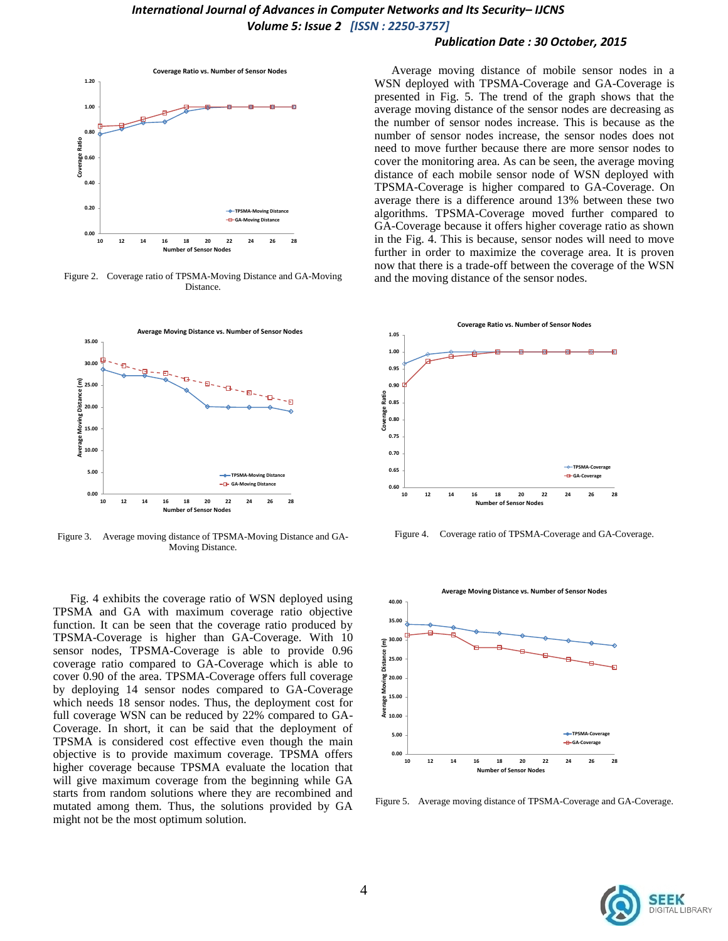#### *Publication Date : 30 October, 2015*



Figure 2. Coverage ratio of TPSMA-Moving Distance and GA-Moving Distance.



Figure 3. Average moving distance of TPSMA-Moving Distance and GA-Moving Distance.

Fig. 4 exhibits the coverage ratio of WSN deployed using TPSMA and GA with maximum coverage ratio objective function. It can be seen that the coverage ratio produced by TPSMA-Coverage is higher than GA-Coverage. With 10 sensor nodes, TPSMA-Coverage is able to provide 0.96 coverage ratio compared to GA-Coverage which is able to cover 0.90 of the area. TPSMA-Coverage offers full coverage by deploying 14 sensor nodes compared to GA-Coverage which needs 18 sensor nodes. Thus, the deployment cost for full coverage WSN can be reduced by 22% compared to GA-Coverage. In short, it can be said that the deployment of TPSMA is considered cost effective even though the main objective is to provide maximum coverage. TPSMA offers higher coverage because TPSMA evaluate the location that will give maximum coverage from the beginning while GA starts from random solutions where they are recombined and mutated among them. Thus, the solutions provided by GA might not be the most optimum solution.

Average moving distance of mobile sensor nodes in a WSN deployed with TPSMA-Coverage and GA-Coverage is presented in Fig. 5. The trend of the graph shows that the average moving distance of the sensor nodes are decreasing as the number of sensor nodes increase. This is because as the number of sensor nodes increase, the sensor nodes does not need to move further because there are more sensor nodes to cover the monitoring area. As can be seen, the average moving distance of each mobile sensor node of WSN deployed with TPSMA-Coverage is higher compared to GA-Coverage. On average there is a difference around 13% between these two algorithms. TPSMA-Coverage moved further compared to GA-Coverage because it offers higher coverage ratio as shown in the Fig. 4. This is because, sensor nodes will need to move further in order to maximize the coverage area. It is proven now that there is a trade-off between the coverage of the WSN and the moving distance of the sensor nodes.



Figure 4. Coverage ratio of TPSMA-Coverage and GA-Coverage.



Figure 5. Average moving distance of TPSMA-Coverage and GA-Coverage.

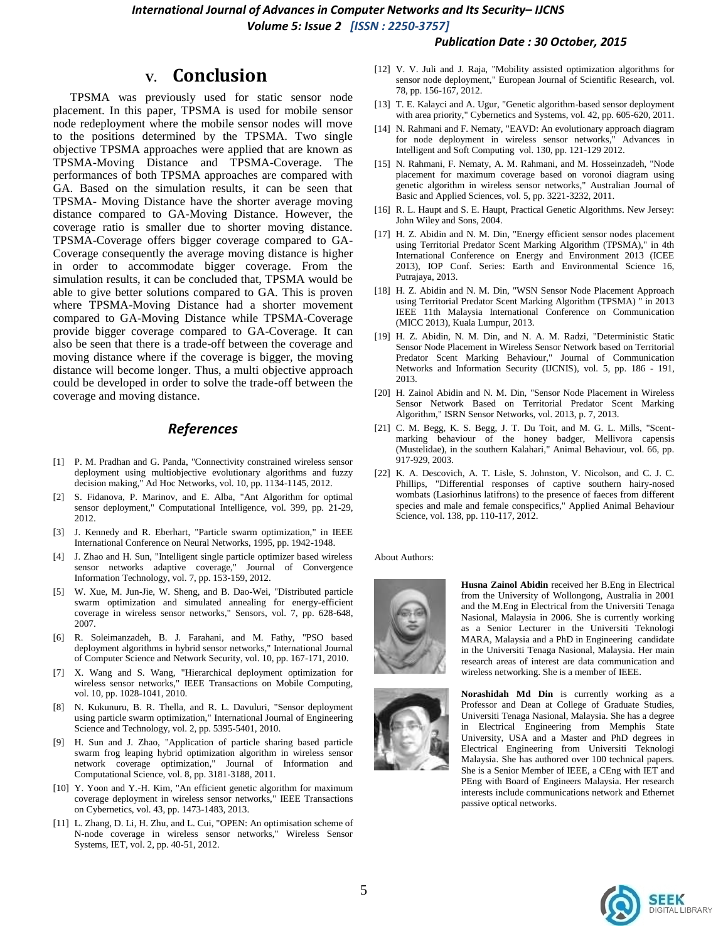#### *International Journal of Advances in Computer Networks and Its Security– IJCNS Volume 5: Issue 2 [ISSN : 2250-3757]*

#### *Publication Date : 30 October, 2015*

## **V. Conclusion**

TPSMA was previously used for static sensor node placement. In this paper, TPSMA is used for mobile sensor node redeployment where the mobile sensor nodes will move to the positions determined by the TPSMA. Two single objective TPSMA approaches were applied that are known as TPSMA-Moving Distance and TPSMA-Coverage. The performances of both TPSMA approaches are compared with GA. Based on the simulation results, it can be seen that TPSMA- Moving Distance have the shorter average moving distance compared to GA-Moving Distance. However, the coverage ratio is smaller due to shorter moving distance. TPSMA-Coverage offers bigger coverage compared to GA-Coverage consequently the average moving distance is higher in order to accommodate bigger coverage. From the simulation results, it can be concluded that, TPSMA would be able to give better solutions compared to GA. This is proven where TPSMA-Moving Distance had a shorter movement compared to GA-Moving Distance while TPSMA-Coverage provide bigger coverage compared to GA-Coverage. It can also be seen that there is a trade-off between the coverage and moving distance where if the coverage is bigger, the moving distance will become longer. Thus, a multi objective approach could be developed in order to solve the trade-off between the coverage and moving distance.

#### *References*

- [1] P. M. Pradhan and G. Panda, "Connectivity constrained wireless sensor deployment using multiobjective evolutionary algorithms and fuzzy decision making," Ad Hoc Networks, vol. 10, pp. 1134-1145, 2012.
- [2] S. Fidanova, P. Marinov, and E. Alba, "Ant Algorithm for optimal sensor deployment," Computational Intelligence, vol. 399, pp. 21-29, 2012.
- [3] J. Kennedy and R. Eberhart, "Particle swarm optimization," in IEEE International Conference on Neural Networks, 1995, pp. 1942-1948.
- [4] J. Zhao and H. Sun, "Intelligent single particle optimizer based wireless sensor networks adaptive coverage," Journal of Convergence Information Technology, vol. 7, pp. 153-159, 2012.
- [5] W. Xue, M. Jun-Jie, W. Sheng, and B. Dao-Wei, "Distributed particle swarm optimization and simulated annealing for energy-efficient coverage in wireless sensor networks," Sensors, vol. 7, pp. 628-648, 2007.
- [6] R. Soleimanzadeh, B. J. Farahani, and M. Fathy, "PSO based deployment algorithms in hybrid sensor networks," International Journal of Computer Science and Network Security, vol. 10, pp. 167-171, 2010.
- [7] X. Wang and S. Wang, "Hierarchical deployment optimization for wireless sensor networks," IEEE Transactions on Mobile Computing, vol. 10, pp. 1028-1041, 2010.
- [8] N. Kukunuru, B. R. Thella, and R. L. Davuluri, "Sensor deployment using particle swarm optimization," International Journal of Engineering Science and Technology, vol. 2, pp. 5395-5401, 2010.
- [9] H. Sun and J. Zhao, "Application of particle sharing based particle swarm frog leaping hybrid optimization algorithm in wireless sensor network coverage optimization," Journal of Information and Computational Science, vol. 8, pp. 3181-3188, 2011.
- [10] Y. Yoon and Y.-H. Kim, "An efficient genetic algorithm for maximum coverage deployment in wireless sensor networks," IEEE Transactions on Cybernetics, vol. 43, pp. 1473-1483, 2013.
- [11] L. Zhang, D. Li, H. Zhu, and L. Cui, "OPEN: An optimisation scheme of N-node coverage in wireless sensor networks," Wireless Sensor Systems, IET, vol. 2, pp. 40-51, 2012.
- [12] V. V. Juli and J. Raja, "Mobility assisted optimization algorithms for sensor node deployment," European Journal of Scientific Research, vol. 78, pp. 156-167, 2012.
- [13] T. E. Kalayci and A. Ugur, "Genetic algorithm-based sensor deployment with area priority," Cybernetics and Systems, vol. 42, pp. 605-620, 2011.
- [14] N. Rahmani and F. Nematy, "EAVD: An evolutionary approach diagram for node deployment in wireless sensor networks," Advances in Intelligent and Soft Computing vol. 130, pp. 121-129 2012.
- [15] N. Rahmani, F. Nematy, A. M. Rahmani, and M. Hosseinzadeh, "Node placement for maximum coverage based on voronoi diagram using genetic algorithm in wireless sensor networks," Australian Journal of Basic and Applied Sciences, vol. 5, pp. 3221-3232, 2011.
- [16] R. L. Haupt and S. E. Haupt, Practical Genetic Algorithms. New Jersey: John Wiley and Sons, 2004.
- [17] H. Z. Abidin and N. M. Din, "Energy efficient sensor nodes placement using Territorial Predator Scent Marking Algorithm (TPSMA)," in 4th International Conference on Energy and Environment 2013 (ICEE 2013), IOP Conf. Series: Earth and Environmental Science 16, Putrajaya, 2013.
- [18] H. Z. Abidin and N. M. Din, "WSN Sensor Node Placement Approach using Territorial Predator Scent Marking Algorithm (TPSMA) " in 2013 IEEE 11th Malaysia International Conference on Communication (MICC 2013), Kuala Lumpur, 2013.
- [19] H. Z. Abidin, N. M. Din, and N. A. M. Radzi, "Deterministic Static Sensor Node Placement in Wireless Sensor Network based on Territorial Predator Scent Marking Behaviour," Journal of Communication Networks and Information Security (IJCNIS), vol. 5, pp. 186 - 191, 2013.
- [20] H. Zainol Abidin and N. M. Din, "Sensor Node Placement in Wireless Sensor Network Based on Territorial Predator Scent Marking Algorithm," ISRN Sensor Networks, vol. 2013, p. 7, 2013.
- [21] C. M. Begg, K. S. Begg, J. T. Du Toit, and M. G. L. Mills, "Scentmarking behaviour of the honey badger, Mellivora capensis (Mustelidae), in the southern Kalahari," Animal Behaviour, vol. 66, pp. 917-929, 2003.
- [22] K. A. Descovich, A. T. Lisle, S. Johnston, V. Nicolson, and C. J. C. Phillips, "Differential responses of captive southern hairy-nosed wombats (Lasiorhinus latifrons) to the presence of faeces from different species and male and female conspecifics," Applied Animal Behaviour Science, vol. 138, pp. 110-117, 2012.

About Authors:



**Husna Zainol Abidin** received her B.Eng in Electrical from the University of Wollongong, Australia in 2001 and the M.Eng in Electrical from the Universiti Tenaga Nasional, Malaysia in 2006. She is currently working as a Senior Lecturer in the Universiti Teknologi MARA, Malaysia and a PhD in Engineering candidate in the Universiti Tenaga Nasional, Malaysia. Her main research areas of interest are data communication and wireless networking. She is a member of IEEE.



**Norashidah Md Din** is currently working as a Professor and Dean at College of Graduate Studies, Universiti Tenaga Nasional, Malaysia. She has a degree in Electrical Engineering from Memphis State University, USA and a Master and PhD degrees in Electrical Engineering from Universiti Teknologi Malaysia. She has authored over 100 technical papers. She is a Senior Member of IEEE, a CEng with IET and PEng with Board of Engineers Malaysia. Her research interests include communications network and Ethernet passive optical networks.